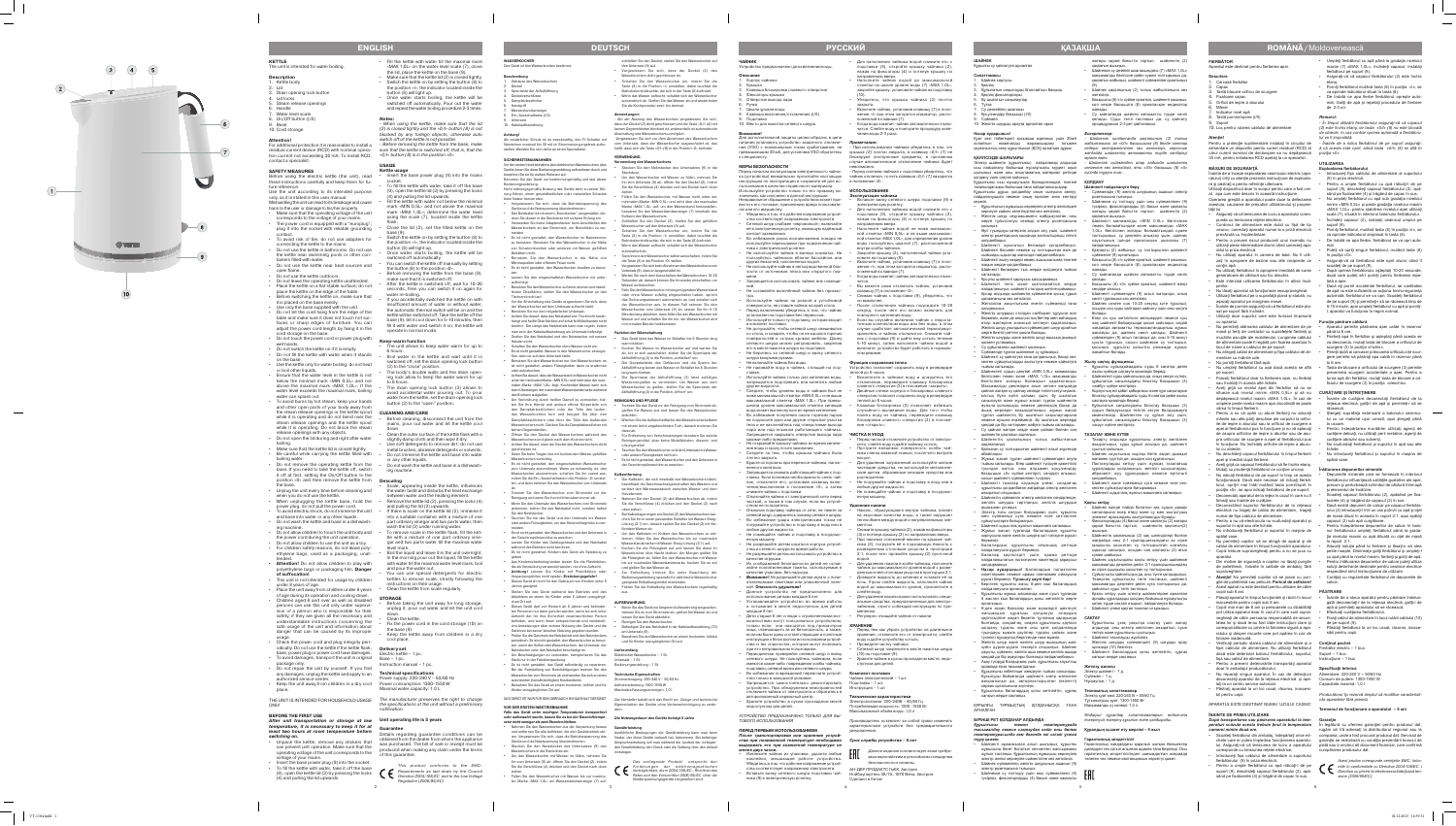**FIERBĂTOR**

**Descriere** 1. Carcasă fierbător

Fixatoare capac Orificii de ieșire a aburului

Indicator nivel apă Tastă pornire/oprire (I/0)

2. Capac 3. Tastă blocare orificiu de scurgere

10. Loc pentru rularea cablului de alimentare

6. Mâner

**MĂSURI DE SIGURANŢĂ** 

Aparatul este destinat pentru fierberea ape

punde cu tensiunea rețelei electrice. • Cordonul de alimentare este dotat cu fişă de tip «euro»; conectaţi aparatul numai la o priză electrică prevăzută cu împământare.

Înainte de a începe exploatarea ceainicului electric (apa ratului) citiţi cu atenţie prezenta instrucţiune de exploata -

re şi păstraţi-o pentru referinţe ulterioare.

**Atenţie!**<br>Pentru o protecţie suplimentară instalaţi în circuitul de

30 mA, pentru instalarea RCD apelati la un specialist

Utilizaţi dispozitivul doar în scopul pentru care a fost cre at, asa cum este descris în această instrucțiune. Operarea greşită a aparatului poate duce la defectarea acestuia, cauzarea de prejudicii utilizatorului şi proprie -

tăţii lui.

Suport

• Asiguraţi-vă că tensiunea de lucru a aparatului cores -

Pentru a nu vă opări cu aburii fierbinți nu aduceți mâinile sau alte părţi deschise ale corpului la orifici ile de ieşire a aburului sau la orificiul de scurgere a apei al fierbătorului pus în funcţiune şi nu vă aplecaţi de asupra orificiilor de ieşire a aburilor sau de asu pra orificiului de scurgere a apei al fierbătorului pus în funcţiune. Nu închideţi orificiile de ieşire a aburu -

• Aveţi grijă ca capacul fierbătorului să fie închis etanş. Mutați cu prudență fierbătorul ce conține uncrop. Nu ridicați fierbătorul de pe suport în timp ce acesta funcţionează. Dacă este necesar să ridicaţi fierbă torul, opriţi-l mai întâi mutând tasta pornit/oprit în poziţia «0», iar apoi ridicaţi fierbătorul de pe suport. Deconectati aparatul de la retea în cazul în care nu îl

- Pentru a preveni riscul producerii unui incendiu nu utilizaţi piese intermediare atunci când conectaţi apa ratul la priza electrică.
- Nu utilizaţi aparatul în camera de baie. Nu îl utili zați în apropiere de bazine sau alte recipiente ce contin apă.
- Nu utilizaţi fierbătorul în apropiere imediată de surse
- generatoare de căldură sau foc deschis. Este interzisă utilizarea fierbătorului în afara încă perilor.
- Nu lăsați aparatul să funcționeze nesupravegheat. • Utilizaţi fierbătorul pe o suprafaţă plană şi stabilă, nu
- aşezaţi aparatul pe marginea mesei. • Înainte de pornire asiguraţi-vă că fierbătorul este pla -
- sat pe suport fără înclinări. • Utilizaţi doar suportul care este furnizat împreună cu aparatul.
- Nu permiteţi atârnarea cablului de alimentare de pe masă și feriți de contactul cu suprafețele fierbinți și nuchiile ascuțite ale mobilierului. Lungimea cablulu de alimentare poate fi reglată prin fixarea acestuia în locul de rulare a cablului de pe suport.
- Nu atingeţi cablul de alimentare şi fişa cablului de ali mentare cu mâinile ude. • Nu porniţi fierbătorul fără apă.
- Nu umpleţi fierbătorul cu apă dacă acesta se află pe suport. • Folosiţi fierbătorul doar la fierberea apei, nu fierbeţi
- sau încălziți în acesta alte lichide. • Aveţi grijă ca nivelul apei din fierbător să nu se

depăşească nivelul maxim «MAX 1,0L». În caz de umplere peste nivelul maxim apa clocotindă se poate

vărsa în timpul fierberii.

lui cu obiecte.

• Nu deschideţi capacul fierbătorului în timpul fierberii

apei şi imediat după fierbere.

- Umpleti fierbătorul cu apă până la gradația nivelulu maxim (7) «MAX 1,0L», închideţi capacul, instalaţi
- fierbătorul pe suport (9). • Asiguraţi-vă că capacul fierbătorului (2) este închis etanş.
- Porniți fierbătorul mutând tasta (8) în poziția «I», se va aprinde indicatorul situat în tasta (8).
- De îndată ce apa fierbe fierbătorul opreşte auto mat. Goliţi de apă şi repetaţi procedura de fierbere de 2-3 ori.

**ROMÂNĂ** / Moldovenească

- **Exploatarea fierbătorului Introduceti fisa cablului de alimentare al suportului** (9) în priza electrică.
- Pentru a umple fierbătorul cu apă ridicaţi-l de pe suport (9), deschideţi capacul fierbătorului (2), apă sând pe fixatoarele (4) şi trăgând de capac în sus.
- Nu umpleti fierbătorul cu apă sub gradația nivelului minim «MIN 0,5L» și peste gradația nivelului maxim «MAX 1,0L», pentru stabilirea nivelului apei utilizaţi scala (7), situată în interiorul balonului fierbătorului. • Închideţi capacul (2), instalaţi ceainicul umplut pe
- suport (9). • Porniţi fierbătorul, mutând tasta (8) în poziţia «I», se
- va aprinde indicatorul amplasat în tasta (8). • De îndată ce apa fierbe, fierbătorul se va opri auto -
- mat. • Puteţi să opriţi singuri fierbătorul, mutând tasta (8) în poziţia «0».
- Asiguraţi-vă că fierbătorul este oprit atunci când îl scoateti de pe suport (9).
- După oprirea fierbătorului aşteptaţi 10-20 secunde, după care puteţi să-l porniţi pentru fierberea repe tată a apei.
- Dacă aţi pornit accidental fierbătorul, iar cantitatea de apă nu este suficientă va actiona termo-siguranta automată, fierbătorul se va opri. Scoateți fierbători de pe suport (9) şi permiteţi-i să se răcească timp de 5-10 minute, apoi umpleți fierbătorul cu apă și pornițiaparatul va funcționa în regim normal.

alimentare un dispozitiv pentru curent rezidual (RCD) al *ă că acesta este oprit, adică tasta «0/I» (8) se află în*  cărui curent nominal de declanşare sa nu depăşească *poziţia «0» . - Înainte de a ridica fierbătorul de pe suport asiguraţi-*

folosiţi sau înainte de curăţare.

• Deconectând suportul fierbătorului de la reţeaua electrică nu trageţi de cablul de alimentare, trageţi

• Pentru a nu vă electrocuta nu scufundaţi aparatul şi

suportul în apă sau alte lichide.

cest aparat nu este destinat

• Nu introduceţi fierbătorul şi suportul în maşina de

spălat vase.

upraveghere.

copiii sub 8 ani

• Nu permiteţi copiilor să se atingă de aparat şi de cablul de alimentare în timpul functionării aparatului. Copiii trebuie supravegheați pentru a nu se juca cu aparatul. • Din motive de siguranţă a copiilor nu lăsaţi pungile de polietilenă, folosite în calitate de ambalaj, fără

- Aparatul permite păstrarea apei calde în rezervor până la 6 ore. .<br>Fierbeți apa în fierbător și așteptați până acesta se
- va deconecta, mutati tasta de blocare a orificiului de scurgere (3) în poziția «închis». Peretii dubli ai carcasei și blocarea orificiului de scu -
- gere permite să păstrați apa caldă în rezervor până la 6 ore. • Tasta de blocare a orificiului de scurgere (3) permite prevenirea scurgerii accidentale a apei. Pentru a
- turna apă din fierbător, mutaţi tasta de blocare a ori ficiului de scurgere (3) în poziția «deschis».

## situeze sub nivelul minim «MIN 0,5L» și să nu **CURAȚARE ȘI INTREȚINERE**

**• Atenţie!** Nu permiteţi copiilor să se joace cu pun gile de polietilenă sau pelicule**. Pericol de asfixiere!**

inaccesibile pentru copiii sub 8 ani.

umai de fişa cablului de alimentare.

• Copiii mai mari de 8 ani şi persoanele cu dizabilităţi pot utiliza aparatul doar în cazul în care sunt supra vegheaţi de către persoana responsabilă de securi -

corespunzătoare cu privire la folosirea sigură a apa ratului şi despre riscurile care pot apărea în caz de

folosire inadecvată.

fişa sau cablul de alimentare.

• Pentru a preveni deteriorările transportaţi aparatul

doar în ambalajul producătorului.

laţi la un centru service autorizat.

• Păstraţi aparatul la un loc uscat, răcoros, inaccesi -

- Plasați aparatul în timpul funcționării și răcirii în locuri Înainte de a stoca aparatul pentru păstrare îndelungată deconectați-l de la rețeaua electrică, goliți-l de apă şi permiteţi aparatului să se răcească. • Efectuaţi curăţarea fierbătorului.
- tatea lor și dacă le-au fost date instrucțiuni clare și • Fixaţi cablul de alimentare în locul rulării cablului (10) de pe suport (9). • Păstraţi fierbătorul la un loc uscat, răcoros, inacce -

bil pentru copii.

APARATUL ESTE DESTINAT NUMAI UZULUI CASNIC

**ÎNAINTE DE PRIMA UTILIZARE**

*camerei minim două ore.* 

**ШАИНЕК**<br>Құрылғы су қайнатуға арналған. **Сипаттамасы**

## Шайнек корпусы

corespunde cu tensiunea reţelei electrice. • Introduceţi fişa cablului de alimentare a suportului fierbătorului (9) în priza electrică. • Pentru a umple fierbătorul cu apă ridicaţi-l de pe suport (9), deschideţi capacul fierbătorului (2), apă sând pe fixatoarele (4) şi trăgând de capac în sus.

- 2. Қақпақ<br>3. Құйылатын саңылауды блоктайтын басқыш Қақпақ фиксаторлар
- Бу шығатын саңылаулар Түтка
- Су деңгейінің шкаласы 8. Қосу/сөндіру басқышы (I/0)
- 9. Сүйемел 10. Желілік шнурды орауға арналған орын
- 

*Remarci: - În timpul utilizării fierbătorului asiguraţi-vă că capacul (2) este închis etanş, iar tasta «0/I» (8) nu este blocată de obiecte, în caz contrar oprirea automată a fierbătoru lui va fi imposibilă.*

## **UTILIZAREA**

• Verificaţi periodic starea cablului de alimentare şi a **Conţinut pachet**  fişei cablului de alimentare. Nu utilizaţi fierbătorul Fierbător electric – 1 buc.

dacă este deteriorat balonul fierbătorului, suportul, Suport – 1 buc. Instrucţiune – 1 buc.

• Nu reparaţi singuri aparatul. În caz de defecţiuni Alimentare: 220-240 V ~ 50/60 Hz deconectaţi aparatul de la reţeaua electrică şi ape - Consum de putere: 1300-1550 W **Specificaţii tehnice** Capacitate maximă: 1,0 l

## **Funcţie păstrare căldură**

## *După transportarea sau păstrarea aparatului la tem -* **Garanţie**

*peraturi scăzute acesta trebuie ţinut la temperatura*  În legătură cu oferirea garanţiei pentru produsul dat, • Scoateţi fierbătorul din ambalaj, îndepărtaţi orice eti - compania, unde a fost procurat produsul dat. Serviciul de chete care ar putea împiedica funcţionarea aparatu - garanţie se realizează cu condiţia prezentării bonului de lui. Asiguraţi-vă că tensiunea de lucru a aparatului plată sau a oricărui alt document financiar, care confirmă rugăm să Vă adresaţi la distribuitorul regional sau la cumpărarea produsului dat.



- Înainte de curăţare deconectaţi fierbătorul de la reţeaua electrică, goliţi-l de apă şi permiteţi-i să se răcească.
- Ştergeţi suprafaţa exterioară a balonului ceainicu lui cu un material uşor umezit, apoi ştergeţi până la uscare. Pentru îndepărtarea murdăriei utilizați agenți de
- curățare delicați, nu utilizați perii metalice, agenți de curăţare abrazivi sau solvenţi. • Nu scufundaţi fierbătorul şi suportul în apă sau alte
- lichide. • Nu introduceţi fierbătorul şi suportul în maşina de spălat vase.

1,0L» белгісінен жоғары болмайтындай сумен толтырыңыз, су деңгейін анықтау үшін, шайнек ауытының ішінде орналасқан шкаланы (7)

## **Înlăturarea depunerilor minerale**

жасайды да, шайнек сөніп калады. Шайнек сүйемелден (9) алып тастаңыз да, оны 5-10 минут суыта тұрыңыз, сосын шайнекке су толтырып, қосыңыз, құрылғы қалыпты режимде жұмыс

.<br>юймадағы сұды 6 сағатқа дейін

- Depunerile minerale care se formează în interiorul fierbătorului influenţează calităţile gustative ale apei, precum şi perturbează schimbul de căldură între apă şi elementul de încălzire.
- Scoateţi capacul fierbătorului (2), apăsând pe fixa toarele (4) şi trăgând de capacul (2) în sus. • Dacă există depuneri de calcar pe capacul fierbăto -
- rului (2) introduceți-l într-un vas potrivit cu apă și otet de masă diluat în aceasta în raport 2:1, apoi spălaţi capacul (2) sub apă curgătoare. • Pentru îndepărtarea depunerilor de calcar în balo -
- nul fierbătorului umpleţi fierbătorul până la grada tia nivelului maxim cu apă diluată cu otet de masă în raport 2:1.
- Aduceti solutia până la fierbere și lăsati-o să stea peste noapte. Dimineața goliți fierbătorul și umplețicu apă până la nivelul maxim, fierbeţi şi goliţi de apă.
- Pentru înlăturarea depunerilor de calcar puteți utiliza soluții detartrante destinate pentru ceainice electrice espectând strict instructiunea de utilizare.
- Curăţaţi cu regularitate fierbătorul de depunerile de calcar.

Тазарту алдында құрылғыны электр желісін ажыратыңыз, суды құйып алыңыз да, шайнекті

ұралдарды қолданыңыз, металл ысқыштард**ы** абразивті жуу құралдарын немесе еріткішті қолданбаңыз. • Шайнекті және сүйемелді суға немесе өзге кез-

## **PĂSTRARE**

.<br>Сұйықтықты қайнатыңыз да, оны түнге қалдырыңы Таңертең сұйықтықты төгіп тастаңыз, шайнекті максималды деңгейге дейін суға толтырыңыз да, • Қақты кетіру үшін электр шайнектеріне арналған

# sibil pentru copii.

*Producătorul îşi rezervă dreptul să modifice caracteristi cile aparatelor fără preaviz*

## **Termenul de funcţionare a aparatului – 5 ani**

4. Фиксаторы крышки Отверстия выхода пара

.<br>Шкала уровня воды

*Acest produs corespunde cerinţelor EMC, întoc - mite în conformitate cu Directiva 2004/108/ЕС i Directiva cu privire la electrosecuritate/joasă ten siune (2006/95/ЕС).*

**Назар аударыңыз!** Қуат көзі тізбегіндегі қосымша қорғаныс үшін 30мА аспайтын номиналды жарамсыздану тогымен қорғаныстық сөну құрылғысын (ҚСҚ) орнатқан дұрыс.

## **ҚАУІПСІЗДІК ШАРАЛАРЫ**

Электр шайнегін (құрылғыны) пайдаланар алдында осы пайдалану бойынша нұсқаулықты мұқият оқып шығыңыз және оны анықтамалық материал ретінде *күйінде тұруға тиіс .* қолдану үшін сақтап қойыңыз. Құрылғыны осы нұсқаулықта баяндалғандай, тікелей тағайындалымы бойынша ғана пайдаланыңыздар. Құрылғыны дұрыс қолданбау оның сынуына әкелуі,

пайдаланушыға немесе оның мүлкіне зиян келтіруі

мүмкін.

• Құрылғының жұмысшы кернеуінің электр желісіндегі онеуге сәйкес келетіндігіне көз жеткізіңіз. • Желілік шнур «еуроашамен» жабдықталған; оны жерге тұйықталуы сенімді электр розеткасына

қосыңыз.

• Өрт туындауы қатерінің алдын алу үшін, шайнекті электр розеткасына қосқанда жалғастырғыш тетікті қолданбаңыз. • Шайнекті жуынатын бөлмеде қолданбаңыз. Шайнекті бассейн немесе су толтырылған өзге де сыйымды ыдыстар жанында пайдаланбаңыз. • Шайнекті жылу көздері немес ашық жалынға тікелей

и сетевого шнура во время рабо • Не разрешайте детям использовать устройство в жақын жерде қолданбаңыз.

• Шайнекті бөлмеден тыс жерде қолдануға тыйым

салынады.

• Қосулы шайнекті қараусыз қалдырмаңыз. • Шайнекті тегіс және қозғалмайтын жерде пайдаланыңыз, шайнекті столдың шетіне қоймаңыз. • Қосар алдында шайнектің сүйемеліне қисық тұрып

қалмағанына көз жеткізіңіз.

• Жеткізілім жиынтығына енетін сүйемелді ғана

қолданыңыз.

• Желілік шнурдың столдан салбырап тұруына жол бермеңіз, және де оның ыстық беттер мен жиһаздың өткір жиктеріне жанасып кетпеуін қадағалаңыз. Желілік шнур ұзындығын сүйемелдегі шнур орайтын

жерге бекітіп реттеп қоюға болады.

• Желілік шнурды және желілік шнур ашасын дымқыл

қолмен ұстамаңыз.

• Су құйылмаған шайнекті қоспаңыз. • Сүйемелде тұрған шайнекке су құймаңыз. • Шайнекті су қайнатуға ғана қолданыңыз, басқа кезкелген сұйықтықтарды жылытуға немесе қайнатуға тыйым салынады. • Шайнектегі судың деңгейі «MIN 0,5L» минималды белгісінен төмен және «MAX 1,0L» максималды белгісінен жоғары болмауын қадағалаңыз. Максималды деңгейден асып кеткен жағдайда қайнап жатқан су қайнау кезінде төгіліп кетуі мүмкін. • Ыстық буға күйіп қалмас үшін, бу шығатын саңылауға және жұмыс жасап тұрған шайнектің аузына қолыңызды немесе денеңіздің басқа да ашық жерлерін жақындатпаңыз, жұмыс жасап тұрған шайнектің бу шығатын саңылауларына месе аузына еңкеймеңіз. Бу шығатын жерлерді қандай да бір заттармен жабуға тыйым салынады. • Су қайнап жатқан кезде және қайнап болған соң

инструкцию по эксплуатации и сохраните её для ис- в положении «0». чайник отключен, то есть клавиша «0/I» (7) находится

шайнектің қақпағын ашпаңыз.

• Шайнектің қақпағының толық жабылғанын

қадағалаңыз.

• Қайнаған су толтырылған шайнекті алып жүргенде

абайлаңыз.

• Жұмыс жасап тұрған шайнекті сүйемелден алуға тыйым салынады. Егер шайнекті түсіруге қажеттілік туындап жатса, оны алдымен қосу/сөндіру басқышын «0» күйіне келтіріп, сөндіріп алыңыз, сосын шайнекті сүйемелінен түсіріңіз. • Шайнекті тазалар алдында үнемі, сондай-ақ құрылғыны қолданбаған жағдайда электр желісінен

ажыратып отырыңыз.

• Шайнектің сүйемелін электр желісінен сөндіргенде,

ашасынан ұстаңыз.

• Электр тоғы соғуын болдырмас үшін, құрылғы мен сүйемелді суға немесе өзге кез-келген

сұйықтықтарға батырмаңыз.

• Шайнекті ыдыс-аяқ жуатын машинаға салмаңыз. • Жұмыс жасап тұрғанда балалардың құрылғы корпусына және желілік шнурға қол тигізуіне рұқсат бермеңіз. • Балалардың құрылғыны ойыншық ретінде пайдалануына рұқсат бермеңіз. • Балалар қауіпсіздігі үшін, орама ретінде пайдаланылатын полиэтилен пакеттерді қараусыз қалдырмаңыз. **• Назар аударыңыз!** Балалардың полиэтилен пакеттермен немесе орама пленкамен ойнауына

рұқсат бермеңіз. **Тұншығу қаупі бар!**

• Берілген құрылғы жасы 8-ден кіші балалардың

пайдалануына арналмаған.

• Құрылғыны жұмыс жасағанда және суып тұрғанда 8 жастан кіші балалардың қолы жетпейтін жерге

орнатыңыз.

жандардың құралды қолдануы олардың

қолдану туралы және оны қате қолданғанда туындауы мүмкін қауіптер туралы сәйкес және түсінікті нұсқаулық берілгенде ғана мүмкін.

күйін дүркін-дүркін тексеріп отырыңыз. Шайнек

қандай да бір ақаулары болғанда пайдаланбаңыз. • Ақау түсіруді болдырмас үшін, құрылғыны зауыттық

Бұзылуды байқағанда шайнекті элетр желісінен

• Құрылғыны балалардың қолы жетпейтін, құрғақ

салқын жерде сақтаңыз.

АРНАЛҒАН

**БІРІНШІ РЕТ ҚОЛДАНАР АЛДЫНДА**

*Құрылғыны төмен температурада* 

*температурасында кем дегенде екі сағат ұстай* 

*тұру қажет.*

• Шайнек сүйемелінің желілік шнурының ашасын (9)

электр розеткасына тығыңыз.

• Шайнекке су толтыру үшін оны сүйемелінен (9) түсіріңіз, фиксаторларды (4) басып және қақпақты

иада ғана тасымалдаңыз.

ервис орталығына жүгініңі<mark>з</mark>

максималды белгісіне дейін сумен толтырыңыз да, қақпағын жабыңыз, шайнекті сүйемеліне орнатыңыз (9). • Шайнек қақпағының (2) толық жабылғанына көз

жеткізіңіз. • Басқышты (8) «I» күйіне орнатып, шайнекті қосыңыз, сол кезде басқышта (8) орналасқан индикатор

жанады.

hängt und heiße Oberflächen und scharfe Möbelkanten nich berührt. Die Länge des Netzkabels kann man regeln, indem • Су қайнағанда шайнек автоматты түрде сөніп

қалады. Суды төгіп тастаңыз да, су қайнату

процедурасын 2-3 рет қайталаңыз.

*Ескертпелер:*

желілік шнурды тартпаңыз, желілік шнурдың **Қақты кетіру**

*- Шайнекті қолданғанда қақпағының (2) толық жабылғанына, ал «0/I» басқышына (8) бөгде заттар*  кедергі келтірмейтініне көз жеткізіңіз, керісіни *жағдайда шайнектің автоматты түрде сөндірілуі* 

*мүмкін емес.*

*- Шайнекті сүйемелден алар алдында шайнектің сөнгеніне көз жеткізіңіз, яғни «0/I» басқышы (8) «0»* 

**ҚОЛДАНУ**

**Шайнекті пайдалануға беру**

розеткасына тығыңыз.

• Сүйемелдің (9) желілік шнурының ашасын электр • Шайнекке су толтыру үшін оны сүйемелінен (9) түсіріңіз, фиксаторларды (4) басып және қақпақты

қақпағын ашыңыз.

жоғары қарай бағытта тартып, шайнектің (2) • Шайнекті минималды «MIN 0,5L» белгісінен төмен болмайтындай және максималды «MAX

пайдаланыңыз.

• 8-ден асқан балалар және мүмкіндігі шектеулі • Шайнекті үнемі қақтан тазалап отырыңыз.

сүйемелге (9) орнатыңыз.

• Қақпақты (2) жабыңыз, су толтырылған шайнекті • Басқышты (8) «I» күйіне орнатып, шайнекті қосыңыз,

қауіпсіздігіне жауап беретін тұлғаның қарауында **САҚТАУ**

болғанда, сондай-ақ, оларға құрылғыны қауіпсіз • Құрылғыны ұзақ уақытқа сақтау үшін жинау алдында, оны электр желісінен ажыратып, суын

жанады.

сол кезде басқышта (8) орналасқан индикатор • Су қайнағанда шайнек автоматты түрде сөніп

қалады. • Басқышты (8) «0» күйіне орнатып, шайнекті өзіңіз

• Желілік шнур және желілік шнур ашасының жай-• Желілік шнурды сүйемелдегі (9) шнурды орау

сөндіре аласыз. • Шайнекті сүйемелден (9) алып жатқанда, оның

сөніп тұрғанына көз жеткізіңіз.

сауыты, сүйемел, желілік аша немесе желілік ашада • Шайнекті балалардың қолы жетпейтін, құрғақ

• Шайнек сөнген соң 10-20 секунд күте тұрыңыз, осыдан соң суды қайтадан қайнату үшін оны қосуға

• Құрылғыны өзбетінше жөндеуге тыйым салынады. Электр шайнегі – 1 д.

болады. • Егер сіз суы жеткіліксіз мөлшердегі немесе суы жоқ шайнекті байқаусызда қосып қойсаңыз, ондай жағдайда автоматты термосақтандырғыш жұмыс

ажыратыңыз да, авторластырылған (өкілетті) Нұсқаулық – 1 д.

ҚҰРЫЛҒЫ ТҰРМЫСТЫҚ ҚОЛДАНЫСҚА ҒАНА Максималды су көлемі: 1,0 л

Bei der Feststellung von Beschädigungen trennen Sie den Wasserkocher vom Stromnetz ab und wenden Sie sich an einen **Thnische Eigenschafte** 

*тасымалдау немесе сақтаудан кейін оны бөлме*  **Құралдың қызмет ету мерзімі – 5 жыл**

жасайтын болады. **Жылу сақтау функциясы**

жылы күйінде сақтауға мүмкіндік береді.

жтау сұйыққоймадағы суды 6 сағатқа дейін жылы

• Шайнекті орамасынан алып шығыңыз, құрылғы Гарантиялық жағдайдағы қаралып жатқан бөлшектер жұмысына бөгет болатын кез-келген жапсырманы дилерден тек сатып алынған адамға ғана берiледi. Осы жұлып тастаңыз. Құрылғының жұмысшы кернеуінің гарантиялық мiндеттiлiгiндегi шағымдалған жағдайда

• Шайнектегі суды қайнатыңыз да, оның сөнуін күтіңіз,

• Nehmen Sie den Wasserkocher aus der Verpackung heraus **Gewährleistung**  und entfernen Sie alle Aufkleber, die den Gerätebetrieb stö- ausführliche Bedingungen der Gewährleistung kann man beim ren. Vergewissern Sie sich, dass die Betriebsspannung des Dealer, der diese Geräte verkauft hat, bekommen. Bei beliebiger • Stecken Sie den Netzstecker des Untersatzes (9) des - den Gewährleistung den Check oder die Quittung über den Ankauf Anspruchserhebung soll man während der Laufzeit der vorliegen vorzulegen

«жабу» күйіне келтіріңіз.

электр желісі кернеуіне сәйкестігіне көз жеткізіңіз. төлеген чек немесе квитанциясын көрсетуi қажет.

құйылатын саңылаудағы блоктау басқышын (3) • Корпустың екі қабат қабырғасы және құю саңылауын

сақтауға мүмкіндік береді.

• Құйылатын саңылаудағы блоктау басқышы (3) судың байқаусызда төгіліп кетуін болдырмауға көмектеседі. Шайнектен су құйып алу үшін,

құйылатын саңылаудағы блоктау басқышын (3)

матамен сүртіңіз де, осыдан соң құрғатыңы

«ашу» күйіне келтіріңіз. **ТАЗАЛАУ ЖӘНЕ КҮТІМ**

суытып қойыңыз.

- Bei der Nutzung des Wasserkochers vergewissern Sie sich, dass der Deckel (2) dicht geschlossen und die Taste «0/I» (8) mit nen Gegenständen blockiert ist, anderenfalls ist automatisch Abschaltung des Wasserkochers unmöglich. -Vergewissern Sie sich vor dem Abnehmen des Wasserkochers vom Untersatz, dass der Wasserkocher ausgeschaltet ist, das heißt, dass sich die Taste «0/l» (8) in der Position «0» befinde

> • Шайнек сауытының сыртқы бетін аздап дымқыл • Ластануларды кетіру үшін жұмсақ тазалағыш

келген сұйықтықтарға батырмаңыз.

• Шайнекті ыдыс-аяқ жуатын машинаға салмаңыз.

• Шайнек ішінде пайда болатын қақ судың дәмдік сапаларына әсер етеді және су мен жылытушы

элемент арасындағы жылуалмасуды бұзады.

• Фиксаторларды (4) басып және қақпақты (2) жоғары қарай бағытта тартып, шайнектің қақпағын(2)

ашыңыз. • Шайнектің қақпағында (2) қақ шөгінділері болған

жағдайда оны 2:1 пропорциясындағы ас сірке қышқылы қосылған су толтырылған ыңғайлы ыдысқа салыңыз, осыдан соң қақпақты (2) ағын

сумен шайыңыз.

• Шайнек сауытындағы қақты кетіру үшін шайнекке максималды деңгейге дейін 2:1 пропорциясындағы

ас сірке қышқылы қосылған су толтырыңыз.

қайнатып суды төгіп тастаңыз.

арнайы құралдарды қолдану бойынша нұсқаулықты қатаң түрде сақтай отырып, пайдалануға болады.

төгіңіз және құрылғыны суытыңыз. • Шайнекті тазалауды жүргізіңіз. орнында (10) бекітіңіз. салқын жерде сақтаңыз.

**Жеткізу жинағы** Сүйемел – 1 д.

**Техникалық сипаттамалар**

- Der Kalkstein, der sich innerhalb des Wasserkochers bildet, beeinflusst die Geschmackseigenschaften des Wassers und verletzt den Wärmeaustausch zwischen Wasser und dem
- Trennen Sie den Wasserkocher vom Stromnetz vor der • Wenn Sie den Untersatz des Wasserkochers vom Stromnetz abtrennen, ziehen Sie das Netzkabel nicht, sondern halten Heizelement. • Nehmen Sie den Deckel (2) des Wasserkochers ab, indem Sie die Verschlüsse (4) drücken und den Deckel (2) nach oben ziehen.
- Tauchen Sie nie das Gerät und den Untersatz ins Wasser oder andere Flüssigkeiten, um das Stromschlagrisiko zu ver - Bei Kalkablagerungen am Deckel (2) des Wasserkochers ta chen Sie ihn in einen passenden Behälter mit Wasser-Essig-Lösung (2:1) ein, danach spülen Sie den Deckel (2) mit flie-
- Es ist nicht gestattet, den Wasserkocher und den Untersatz in ßendem Wasser ab. • Um den Kalkstein im Kolben des Wasserkochers zu ent fernen, füllen Sie den Wasserkocher bis zur maximalen
- Lassen Sie Kinder das Gerätegehäuse und das Netzkabel Wasserstandsmarke mit Wasser-Essig-Lösung (2:1) auf. • Kochen Sie die Flüssigkeit auf und lassen Sie diese im
- Es ist nicht gestattet, Kindern das Gerät als Spielzeug zu Wasserkocher über Nacht bleiben. Am Morgen gießen Sie die Flüssigkeit ab, füllen Sie den Wasserkocher mit Wasser
- Aus Kindersicherheitsgründen lassen Sie die Plastiktüten, **• Achtung!** Lassen Sie Kinder mit Plastiktüten oder bis zur maximalen Wasserstandsmarke, kochen Sie es auf und gießen Sie das Wasser ab. • Zur Entkalkung können Sie unter Beachtung der
- Dieses Gerät ist nicht für den Gebrauch von Kindern unter 8 Bedienungsanleitung spezielle für elektrische Wasserkocher geeignete Entkalkungsmittel verwenden. Sie die Entkalk

Электр қуат көзі: 220-240 В ~ 50/60 Гц Тұтынылушы қуат: 1300-1550 Вт

*Өндіруші құралдар сипаттамаларын алдын-ала ескертусіз өзгерту құқығын өзіне қалдырады.*

**Гарантиялық мiндеттiлiгi**

**Қазақша**

5

**ЧАЙНИК**

Устройство предназначено для кипячения воды.

2. Крышка<br>3. Клавиша блокировки сливного отверстия

**Описание** 1. Корпус чайника

Ручка

8. Клавиша включения/отключения (I/0)

9. Подставка

10. Место для намотки сетевого шнура

**Внимание!**

Для дополнительной защиты целесообразно в цепи питания установить устройство защитного отключе ния (УЗО) с номинальным током срабатывания, не превышающим 30 мА, для установки УЗО обратитесь

к специалисту.

**МЕРЫ БЕЗОПАСНОСТИ**

Перед началом эксплуатации электрического чайни ка (устройства) внимательно прочитайте настоящую

пользования

#### Kettle body 2. Lid

3. Drain opening lock button

в качестве справочного материала. Используйте устройство только по его прямому на значению, как изложено в данной инструкции. Неправильное обращение с устройством может при вести к его поломке, причинению вреда пользовате -

лю или его имуществу.

• Убедитесь в том, что рабочее напряжение устрой ответствует напряжению электросети. • Сетевой шнур снабжен «евровилкой»; включайте её в электрическую розетку, имеющую надёжный

контакт заземления.

• Во избежание риска возникновения пожара не используйте переходники при подключении чай -

ника к электрической розетке.

• Не используйте чайник в ванных комнатах. Не пользуйтесь чайником вблизи бассейнов или других ёмкостей, наполненных водой. • Не используйте чайник в непосредственной бли зости от источников тепла или открытого пла -

мени.

• Запрещается использовать чайник вне помеще ний. • Не оставляйте включённый чайник без присмо тра. • Используйте чайник на ровной и устойчивой поверхности, не ставьте чайник на край стола. • Перед включением убедитесь в том, что чайник установлен на подставке без перекосов. • Используйте только ту подставку, которая входит

в комплект поставки.

• Не допускайте, чтобы сетевой шнур свешивался со стола, и следите, чтобы он не касался горячих поверхностей и острых кромок мебели. Длину сетевого шнура можно регулировать, закрепив его в месте намотки шнура на подставке. • Не беритесь за сетевой шнур и вилку сетевого

шнура мокрыми руками. • Не включайте чайник без воды.

ми-либо предметами

• Не наливайте воду в чайник, стоящий на под -

ставке.

• Используйте чайник только для кипячения воды, запрещается подогревать или кипятить любые

другие жидкости.

• Следите, чтобы уровень воды в чайнике был не ниже минимальной отметки «MIN 0,5L» и не выше максимальной отметки «MAX 1,0L». При превы шении уровня максимальной отметки кипящая вода может выплеснуться во время кипячения. Во избежание получения ожога горячим паро не подносите руки или другие открытые участки тела и не наклоняйтесь над отверстиями выхода пара или над носиком работающего чайника. Запрещается закрывать отверстия выхода пара

• Не открывайте крышку чайника во время кипяче ния воды и сразу после закипания.

• Следите за тем, чтобы крышка чайника была

плотно закрыта.

• Будьте осторожны при переносе чайника, напол -

ненного кипятком.

• Запрещается снимать работающий чайник с под ставки. Если возникла необходимость снять чай ник, отключите его, установив клавишу вклю чения/выключения в положение «0», а затем

• Fill the kettle with water till the maximal mark «MAX 1,0L» on the water level scale (7), close the lid, place the kettle on the base (9).

снимите чайник с подставки.

• Отключайте чайник от электрической сети перед чисткой, а также в том случае, если вы устрой -

ством не пользуетесь.

• Отключая подставку чайника от сети, не тяните за сетевойшнур, адержитесь завилкусетевогошнура. • Во избежание удара электрическим током не погружайте устройство и подставку в воду или в

любые другие жидкости.

• Не помещайте чайник и подставку в посудомо -

sure that the kettle is switched off, that is, that the «0/I» button (8) is in the position «0».

ечную машину.

• Не разрешайте детям касаться корпуса устрой -

ства

качестве игрушки.

• Из соображений безопасности детей не остав ляйте полиэтиленовые пакеты, используемые в

качестве упаковки, без надзора. *•* **Внимание!** Не разрешайте детям играть с поли этиленовыми пакетами или упаковочной плен -

кой. **Опасность удушения!**

• Данное устройство не предназначено для использования детьми младше 8 лет. • Устанавливайте устройство во время работы и остывания в месте недоступном для детей

младше 8 лет.

можностями могут пользоваться устройством,

лица, отвечающего за их безопасность, а также, если им были даны соответствующие и понятные инструкции о безопасном использовании устрой ства и тех опасностях, которые могут возникать

- The unit allows to keep water warm for up to 6 hours.
- Boil water in the kettle and wait until it is switched off, set the drain opening lock button
- (3) to the "close" position. The body's double walls and the drain open ing lock allow to keep the water warm for up
- to 6 hours. The drain opening lock button (3) allows to avoid accidental water pouring out. To pour water from the kettle, set the drain opening lock

при его неправильном пользовании. • Периодически проверяйте сетевой шнур и вилку то шнура. Не пользуйтесь чайником, если имеются какие-либо повреждения колбы чайника, подставки, сетевой вилки или сетевого шнура.

ство только в заводской упаковке.

отключите чайник от электросети и обратитесь в

авторизованный сервисный центр. • Храните устройство в сухом прохладном месте

недоступном для детей.

УСТРОЙСТВО ПРЕДНАЗНАЧЕНО ТОЛЬКО ДЛЯ БЫ -

ТОВОГО ИСПОЛЬЗОВАНИЯ

**ПЕРЕД ПЕРВЫМ ИСПОЛЬЗОВАНИЕМ После транспортировки или хранения устрой -**

**выдержать его при комнатной температуре не** 

- Before taking the unit away for long storage unplug it, pour out water and let the unit cool down.
- Clean the kettle.
- Fix the power cord in the cord storage (10) on the base (9). • Keep the kettle away from children in a dry
- cool place.

**менее двух часов .**

 $02.12.2013$  16:39:31<br>VT-1184.indd 1

• Извлеките чайник из упаковки, удалите любые наклейки, мешающие работе устройства. Убедитесь в том, что рабочее напряжение устрой ства соответствует напряжению электросети. • Вставьте вилку сетевого шнура подставки чай ника (9) в электрическую розетку.

This product conforms to the EMC-Requirements as laid down by the Council Directive 2004/108/EC and to the Low Voltage

- Для наполнения чайника водой снимите его с подставки (9), откройте крышку чайника (2), нажав на фиксаторы (4) и потянув крышку по направлению вверх. • Наполните чайник водой до максимальной
- отметки на шкале уровня воды (7) «MAX 1,0L», закройте крышку, установите чайник на подставку (10). • Убедитесь, что крышка чайника (2) плотно
- закрыта. Включите чайник, установив клавишу (7) в поло -
- жение «I» при этом загорится индикатор, распо ложенный в клавише (7). • Когда вода закипит, чайник автоматически отклю -
- чится. Слейте воду и повторите процедуру кипя чения воды 2-3 раза.

**Примечание:** - При использовании чайника убедитесь в том, что крышка (2) плотно закрыта, а клавишу «0/I» (7) не блокируют посторонние предметы, в противном случае автоматическое отключение чайника буде невозможно. - Перед снятием чайника с подставки убедитесь, что

### **ИСПОЛЬЗОВАНИЕ Эксплуатация чайника**

- Вставьте вилку сетевого шнура подставки (9) в электрическую розетку. • Для наполнения чайника водой снимите его с подставки (9), откройте крышку чайника (2), нажав на фиксаторы (4) и потянув крышку по
- направлению вверх. • Наполните чайник водой не ниже минималь ной отметки «MIN 0,5L» и не выше максималь ной отметки «MAX 1,0L», для определения уровня воды пользуйтесь шкалой (7), расположенной внутри колбы чайника.
- Закройте крышку (2), наполненный чайник уста новите на подставку (9). • Включите чайник, установив клавишу (7) в поло жение «I», при этом загорится индикатор, распо -
- ложенный в клавише (7). Когда вода закипит, чайник автоматически отклю чится.
- Вы можете сами отключить чайник, установи клавишу (7) в положение «0». • Снимая чайник с подставки (9), убедитесь, что
- он выключен. • После отключения чайника подождите 10-20 секунд, после чего его можно включить для повторного кипячения воды.
- Если вы случайно включили чайник c недоста точным количеством воды или без воды, в этом чае сработает автоматический хранитель и чайник отключится. Снимите чай ник с подставки (9) и дайте ему остыть течение 5-10 минут, затем наполните чайник водой и включите, устройство будет работать в нормаль ном режиме.

- только если они находятся под присмотром **ХРАНЕНИЕ** • Перед тем как убрать устройство на длительное хранение, отключите его от электросети, слейте воду и дайте устройству остыть.
	- Проведите чистку чайника. Сетевой шнур закрепите в месте намотки шну<mark>ра</mark> (10) на подставке (9).
	- Храните чайник в сухом прохладном месте, недо ступном для детей.

• Во избежание повреждений перевозите устрой - • Запрещается самостоятельно ремонтировать **Комплект поставки** Чайник электрический – 1 шт. Подставка – 1 шт.

### устройство. При обнаружении неисправностей Инструкция – 1 шт.

## **ства при пониженной температуре необходимо Срок службы устройства – 5 лет**

#### **Функция сохранения тепла** Устройство позволяет сохранить воду в резервуаре

- теплой до 6 часов. • Вскипятите в чайнике воду и дождитесь его отключения, переведите клавишу блокировки сливного отверстия (3) в положение «закрыть». • Двойные стенки корпуса и блокировка сливного отверстия позволят сохранить воду в резервуаре
- теплой до 6 часов. • Клавиша блокировки (3) позволяет избежать случайного выливания воды. Для того чтобы налить воду из чайника, переведите клавишу блокировки сливного отверстия (3) в положе -
- ние «открыть». **ЧИСТКА И УХОД**
- Перед чисткой отключите устройство от электро сети, слейте воду и дайте чайнику остыть. • Протрите внешнюю поверхность колбы чай ника слегка влажной тканью, после чего вытрите
- насухо. Для удаления загрязнений используйте мягкие чистящие средства, не используйте металличе ские щетки, абразивные моющие средства или растворители.
- Не погружайте чайник и подставку в воду или в любые другие жидкости. • Не помещайте чайник и подставку в посудомо -
- ечную машину.
- **Удаление накипи** • Накипь, образующаяся внутри чайника, влияет на вкусовые качества воды, а также нарушает теплообмен между водой и нагревательным эле ментом. • Снимите крышку чайника (2), нажав на фиксаторы
- (4) и потянув крышку (2) по направлению вверх. • При наличии отложений накипи на крышке чайника (2), погрузите её в подходящую ёмкость с разведенным столовым уксусом в пропорции 2:1, после чего промойте крышку (2) проточной
- водой. • Для удаления накипи в колбе чайника, наполните чайник до максимального уровня водой с разве денным в ней столовым уксусом в пропорции 2:1. • Доведите жидкость до кипения и оставьте её на ночь. Утром слейте жидкость, наполните чайни
- водой до максимального уровня, прокипятите и слейте воду. • Для удаления накипи можно использовать специ -
- Дети старше 8 лет и люди с ограниченными воз менению. Регулярно очищайте чайник от накипи. альные средства, предназначенные для электро чайников, строго соблюдая инструкцию по при -

#### **Технические характеристики** Электропитание: 220-240В ~ 50/60 Гц Потребляемая мощность: 1300 -1550 Вт

Максимальный объём воды: 1,0 л

### Производитель оставляет за собой право изменять характеристики устройств без предварительного уведомления.

- Данное изделие соответствует всем требуе мым европейским и российским стандартам безопасности и гигиены.
- АН-ДЕР ПРОДАКТС ГмбХ, Австрия Нойбаугюртель 38/7А, 1070 Вена, Австрия

Сделано в Китае

4

**WASSERKOCHER**

Das Gerät ist fürs Wasserkochen bestimmt.

Gehäuse des Wasserkochers

Sperrtaste der Abflußöffnung 4. Deckelverschlüsse Dampfablasslöcher Handgriff Wasserstandsanzeige . Ein-/Ausschalttaste (I/ . Untersatz 10. Kabelaufbewahrung

**Beschreibung**

2. Deckel

**Achtung!**

Als zusätzlicher Schutz ist es zweckmäßig, den FI-Schalter mit Nennstrom maximal bis 30 mA im Stromversorgungskreis aufzu stellen. Wenden Sie sich dafür an einen Spezialisten.

**SICHERHEITSMAßNAHMEN**

bewahren Sie sie für weitere Referenz auf.

beim Nutzer hervorrufen.

Geräts und die Netzspannung übereinstimmen.

meiden.

Behältern nicht.

or der ersten Inbetriebnahme des elektrischen V

Wärmequellen oder offenem Feuer nicht. • Es ist nicht gestattet, den Wasserkocher draußen zu benut -

zen.

aufsichtigt.

Tischrand nicht auf.

• Vor der Einschaltung des Geräts vergewissern Sie sich, dass der Wasserkocher auf dem Untersatz aufrecht steht. • Benutzen Sie nur den mitgelieferten Untersatz. • Achten Sie darauf, dass das Netzkabel vom Tisch nicht herab

-

Händen nicht.

• Schalten Sie den Wasserkocher ohne Wasser nicht ein.

ßen, wenn er auf dem Untersatz steht.

oder aufzukochen.

beim Übersteigen der maximalen Wasserstandsmarke während

rkochens und gleich nach dem Kochen nicht.

des Kochens ausgießen.

einen Gegenständer

sserkochers vorsichtig.

geschlossen ist.

indem Sie die Ein-/Ausschalttaste in die Position «0» umstel len, und dann nehmen Sie den Wasserkocher vom Untersatz

ab.

Reinigung und wenn Sie ihn nicht benutzen immer ab.

Sie den Netzstecker.

meiden.

der Geschirrspülmaschine zu waschen.

während des Betriebs nicht berüh

geben.

die als Verpackung verwendet werden, nie ohne Aufsicht.

Verpackungsfolien nicht spielen. **Erstickungsgefahr!**

Jahren geeignet.

- Geräts) lesen Sie diese Bedienungsanleitung aufmerksam durch und Benutzen Sie das Gerät nur bestimmungsmäßig und laut dieser **Verwendung des Wasserkocher** • Stecken Sie den Netzstecker des Untersatzes (9) in die Steckdose. • Um den Wasserkocher mit Wasser zu füllen, nehmen Sie hn vom Untersatz (9) ab, öffnen Sie den Deckel (2), inder
- Bedienungsanleitung. Nicht ordnungsgemäße Nutzung des Geräts kann zu seiner Stö rung führen, einen gesundheitlichen oder materiellen Schaden Sie die Verschlüsse (4) drücken und den Deckel nach oben
- Vergewissern Sie sich, dass die Betriebsspannung des • Das Netzkabel ist mit einem "Eurostecker" ausgestattet; ste ziehen. • Füllen Sie den Wasserkocher mit Wasser nicht unter der llen Marke «MIN 0,5L» und nicht über der maximalen Marke «MAX 1,0L» auf; um den Wasserstand festzustellen, en Sie den Wasserstandsanzeiger (7) innerhalb des
- cken Sie diesen in die Steckdose mit sicherer Erdung ein. Verwenden Sie keine Adapterstecker beim Anschließen de Wasserkochers an das Stromnetz, um Brandrisiko zu ver - Kolbens des Wasserkochers. • Schließen Sie den Deckel (2), stellen Sie den gefüllten Wasserkocher auf den Untersatz (9) auf. • Schalten Sie den Wasserkocher ein, indem Sie die
- Es ist nicht gestattet, den Wasserkocher im Badezimme zu benutzen. Benutzen Sie den Wasserkocher in der Nähe Taste (8) in die Position «I» umstellen, dabei leuchtet die rolleuchte, die sich in der Taste (8) befindet. • Wenn das Wasser aufkocht, schaltet sich der Wasserkocher
- von Schwimmbecken oder anderen mit Wasser gefüllten • Benutzen Sie den Wasserkocher in der Nähe von automatisch ab. • Sie können den Wasserkocher selbst ausschalten, indem Sie
	- die Taste (8) in die Position «0» stellen. • Vergewissern Sie sich beim Abnehmen des Wasserkochers vom rsatz (9), dass er ausgeschaltet ist.
- Lassen Sie den eingeschalteten Wasserkocher nie unbe • Benutzen Sie den Wasserkocher auf einer ebenen und stand festen Oberfläche, stellen Sie den Wasserkocher an den • Warten Sie nach dem Ausschalten des Wasserkochers 10-20 Sekunden ab, danach können Sie ihn wieder einschalten, um Wasser aufzukochen.

• Stellen Sie das Gerät während des Betriebs und des

## Abkühlens an einem für Kinder unter 8 Jahren unzugängli -

chen Ort auf.

### periodisch. Es ist nicht gestattet, den Wasserkocher zu benut zen, wenn der Kolben des Wasserkochers, der Untersatz, der

Netzstecker oder das Netzkabel beschädigt ist.

autorisierten (bevollmächtigten) Kundendienst.

Gerät nur in der Fabrikverpackung.

#### man es in der Kabelaufbewahrung am Untersatz befestigt. • Greifen Sie das Netzkabel und den Netzstecker mit nassen **Funktion der Wärmehaltung**

Kinder unzugänglichen Ort auf.

**VOR DER ERSTEN INBETRIEBNAHME**

**ratur nicht weniger als zwei Stunden bleiben.**

- Es ist nicht gestattet, Wasser in den Wasserkocher einzugie • Benutzen Sie den Wasserkocher nur fürs Wasserkochen; es ist nicht gestattet, andere Flüssigkeiten darin zu erwärmen ab, bis er sich ausschaltet, stellen Sie die Sperrtaste der Abflußöffnung (3) in die Position schließen" um. • Die Doppelwände des Gehäuses und die Sperre der
- Achten Sie darauf, dass der Wasserstand im Wasserkocher nicht unter der minimalen Marke «MIN 0,5L» und nicht über der maxi malen Marke «MAX 1,0L» liegt. Kochendes Wasser kann sich Abflußöffnung lassen das Wasser im Behälter bis 6 Stunden lang warm bleiben. • Die Sperrtaste der Abflußöffnung (3) lässt zufälliges Wasservergießen zu vermeiden. Um Wasser aus dem Wasserkocher zu gießen, stellen Sie die Sperrtaste der

nung (3) in die Position "öffnen" um.

Wasserkochers in die Steckdose ein.

#### • Um Verbrühung durch heißen Dampf zu vermeiden, hal - **REINIGUNG UND PFLEGE**

ziehen.

eräts und die Netzspannung übereinstimmen.

len Marke «MAX 1,0L» am Wasserstandsanzeiger (7) auf,

- ten Sie Ihre Hände und andere offene Körperteile von den Dampfablasslöchern oder der Tülle des laufen den Wasserkochers fern und beugen Sie über den Dampfablasslöchern oder über der Tülle des laufenden Wasserkochers nicht. Decken Sie die Dampfablasslöcher mit • Trennen Sie das Gerät vor der Reinigung vom Stromnetz ab, gießen Sie Wasser aus und lassen Sie den Wasserkocher abkühlen. • Wischen Sie die Außenoberfläche des Wasserkocherkolbens
- Öffnen Sie den Deckel des Wasserkochers während des mit einem leicht angefeuchteten Tuch, danach trocknen Sie diese ab. • Für Entfernung von Verschmutzungen benutzen Sie weiche
- Achten Sie darauf, dass der Deckel des Wasserkochers dicht Reinigungsmittel, aber keine Metallbürsten, Abrasiv- und Lösungsmittel. • Tauchen Sie den Wasserkocher und den Untersatz ins Wasser
- Seien Sie beim Tragen des mit kochendem Wasser gefüllten • Es ist nicht gestattet, den eingeschalteten Wasserkocher oder andere Flüssigkeiten nicht ein. • Es ist nicht gestattet, den Wasserkocher und den Untersatz in der Geschirrspülmaschine zu waschen.

schließen Sie den Deckel, stellen Sie den Wasserkocher auf den Untersatz (9) auf.

- Vergewissern Sie sich, dass der Deckel (2) des
- Wasserkochers dicht geschlossen ist. Schalten Sie den Wasserkocher ein, indem Sie die Taste (8) in die Position «I» umstellen, dabei leuchtet die Betriebskontrolleuchte, die sich in der Taste (8) befindet.
- Wenn das Wasser aufkocht, schaltet sich der Wasserkocher automatisch ab. Gießen Sie das Wasser ab und wiederholen Sie die Kochprozedur zwei- bis dreimal.

#### vom Untersatz abzunehmen. Wenn es notwendig ist, den Wasserkocher abzunehmen, schalten Sie ihn zuerst aus, **Kalkentfernung**

## **Anmerkungen:**

### **VERWENDUNG**

- Dieses Gerät darf von Kindern ab 8 Jahren und behinder ten Personen nur dann genutzt werden, wenn sie sich unter **AUFBEWAHRUNG** Bevor Sie das Gerät zur längeren Aufbewahrung wegpacke trennen Sie es vom Stromnetz ab, gießen Sie Wasser ab und lassen Sie das Gerät abkühlen.
- Aufsicht der für ihre Sicherheit verantwortlichen Person befinden, und wenn ihnen entsprechende und verständli che Anweisungen über sichere Nutzung des Geräts und die Gefahren bei seiner falschen Nutzung gegeben wurden. Reinigen Sie den Wasserkoche • Befestigen Sie das Netzkabel in der Kabelaufbewahrung (10)
- Prüfen Sie die Ganzheit des Netzkabels und des Netzsteckers am Untersatz (9). • Bewahren Sie den Wasserkocher an einem trockenen, kühlen und für Kinder unzugänglichen Ort auf.

• Um Beschädigungen zu vermeiden, transportieren Sie das Elektrischer Wasserkocher – 1 St. **Lieferumfang** Untersatz – 1 St.

#### • Es ist nicht gestattet, das Gerät selbständig zu reparieren. Bedienungsanleitung – 1 St.

#### • Bewahren Sie das Gerät an einem trockenen, kühlen und für Stromversorgung: 220-240 V ~ 50/60 Hz Aufnahmeleistung: 1300-1550 W Maximales Fassungsvermögen: 1,0 l

• Falls Sie den Wasserkocher mit ungenügendem Wasserstand oder ohne Wasser zufällig eingeschaltet haben, spricht das Sicherungselement automatisch an und schaltet sich der Wasserkocher aus. In diesem Fall nehmen Sie den rkocher vom Untersatz (9) ab, lassen Sie ihn 5-10 Minuten lang abkühlen, dann füllen Sie den Wasserkocher mit Wasser auf und schalten Sie ihn ein, der Wasserkocher wird

DAS GERÄT IST NUR FÜR DEN GEBRAUCH IM HAUSHALT GEEIGNET Der Hersteller behält sich das Recht vor, Design und technische Eigenschaften der Geräte ohne Vorbenachrichtigung zu verän -

#### **Falls das Gerät unter niedrigen Temperaturen transportiert oder aufbewahrt wurde, lassen Sie es bei der Raumlufttempe - Die Nutzungsdauer des Geräts beträgt 5 Jahre** dern.

im normalen Betrieb funktionieren.

• Das Gerät lässt das Wasser im Behälter bis 6 Stunden lang warm bleiben. • Kochen Sie Wasser im Wasserkocher auf und warten Sie

-

aus.

## **DEUTSCH**

3

#### **KETTLE** The unit is intended for water boiling.

**Description**

- 4. Lid locks
- Steam release opening 6. Handle
- Water level scale
- On/Off button (I/0) 9. Base
- 10. Cord storage
- **Attention!**

For additional protection it is reasonable to install a residual current device (RCD) with nominal opera tion current not exceeding 30 mA. To install RCD, contact a specialist.

## **SAFETY MEASURES**

Before using the electric kettle (the unit), read these instructions carefully and keep them for fu ture reference. Use the unit according to its intended purpose

- only, as it is stated in this user manual. Mishandling the unit can lead to its breakage and cause
- arm to the user or damage to his/her property. • Make sure that the operating voltage of the unit corresponds to the voltage of your mains.
- The power cord is equipped with a "europlug"; plug it into the socket with reliable grounding contact.
- To avoid risk of fire, do not use adapters for connecting the kettle to the mains.
- Do not use the kettle in bathrooms. Do not use the kettle near swimming pools or other con -
- tainers filled with water. • Do not use the kettle near heat sources and open flame.
- Do not use the kettle outdoors.
- Do not leave the operating kettle unattended.
- Place the kettle on a flat stable surface; do not place the kettle on the edge of the table.
- Before switching the kettle on, make sure that
- it is placed on the base evenly. Use only the base supplied with the unit.
- Do not let the cord hang from the edge of the table and make sure it does not touch hot sur faces or sharp edges of furniture. You can
- adjust the power cord length by fixing it in the cord storage on the base. • Do not touch the power cord or power plug with
- wet hands. • Do not switch the kettle on if it is empty.
- Do not fill the kettle with water when it stands
- on the base. Use the kettle only for water boiling; do not heat
- or boil other liquids. • Ensure that the water level in the kettle is not below the minimal mark «MIN 0,5L» and not above the maximal mark «MAX 1,0L». If the water level exceeds the maximal mark, boiling water can splash out.
- To avoid burns by hot steam, keep your hands and other open parts of your body away from the steam release openings or the kettle spout while it is operating and do not bend over the steam release openings and the kettle spout while it is operating. Do not block the steam release openings with any objects.
- Do not open the lid during and right after water boiling. Make sure that the kettle lid is closed tightly. Be careful while carrying the kettle filled with
- boiling water. • Do not remove the operating kettle from the
- base. If you need to take the kettle off, switch it off at first, setting the On/Off button to the position «0» and then remove the kettle from the base.
- Unplug the unit every time before cleaning and when you do not use the kettle.
- When unplugging the kettle base, hold the power plug, do not pull the power cord.
- To avoid electric shock, do not immerse the unit and base into water or any other liquids.
- Do not wash the kettle and base in a dishwash ing machine.
- Do not allow children to touch the unit body and
- the power cord during the unit operation. • Do not allow children to use the unit as a toy.
- For children safety reasons, do not leave poly ethylene bags, used as a packaging, unat -
- tended. **• Attention!** Do not allow children to play with polyethylene bags or packaging film. **Danger**
- **of suffocation!** This unit is not intended for usage by children
- under 8 years of age. • Place the unit away from children under 8 years of age during its operation and cooling down. • Children aged 8 and over as well as disabled persons can use this unit only under supervi sion of a person who is responsible for their safety, if they are given all the necessary and understandable instructions concerning the
- safe usage of the unit and information about danger that can be caused by its improper usage. • Check the power cord and plug integrity peri -
- odically. Do not use the kettle if the kettle flask, **Delivery set**
- base, power plug or power cord have damages. Electric kettle 1 pc. • To avoid damages, transport the unit in original package only.
- Do not repair the unit by yourself. If you find any damages, unplug the kettle and apply to an authorized service center.
- Keep the unit away from children in a dry cool place.

THE UNIT IS INTENDED FOR HOUSEHOLD USAGE The manufacturer preserves the right to change **ONLY** 

## **BEFORE THE FIRST USE**

**After unit transportation or storage at low Unit operating life is 5 years temperature, it is necessary to keep it for at least two hours at room temperature before switching on.**

- Unpack the kettle, remove any stickers that can prevent unit operation. Make sure that the operating voltage of the unit corresponds to the voltage of your mains.
- Insert the base power plug (9) into the socket • To fill the kettle with water, take it off the base (9), open the kettle lid (2) by pressing the locks (4) and pulling the lid upwards.
- Make sure that the kettle lid (2) is closed tightly. • Switch the kettle on by setting the button (8) to the position «I», the indicator located inside the
- button (8) will light up. • Once water starts boiling, the kettle will be switched off automatically. Pour out the water

# and repeat the water boiling procedure 2-3 times.

**Notes:** - When using the kettle, make sure that the lid (2) is closed tightly and the  $\sqrt{a}$  button (8) is no blocked by any foreign objects, otherwise auto switch off of the kettle is not possible. - Before removing the kettle from the base, make

#### **USAGE Kettle usage**

- Insert the base power plug (9) into the mains
- socket. To fill the kettle with water, take it off the base (9), open the kettle lid (2) by pressing the locks
- (4) and pulling the lid upwards. Fill the kettle with water not below the minimal mark «MIN 0,5L» and not above the maximal mark «MAX 1,0L»; determine the water level using the scale (7), located inside the kettle
- flask. Close the lid (2), set the filled kettle on the base (9).
- Switch the kettle on by setting the button (8) to the position «I», the indicator located inside the button (8) will light up.
- Once water starts boiling, the kettle will be switched off automatically. • You can switch the kettle off manually by setting
- the button (8) to the position «0». Before removing the kettle from the base (9)
- make sure that it is switched off. After the kettle is switched off, wait for 10-20 seconds, then you can switch it on again for water re-boiling.
- If you accidentally switched the kettle on with insufficient amount of water or without water, the automatic thermal switch will be on and the kettle will be switched off. Take the kettle off the base (9), let it cool down for 5-10 minutes, then fill it with water and switch it on, the kettle will operate in normal mode.

## **Keep-warm function**

button (3) to the "open" position.

## **CLEANING AND CARE**

- Before cleaning, disconnect the unit from the mains, pour out water and let the kettle cool
- down. Clean the outer surface of the kettle flask with a
- slightly damp cloth and then wipe it dry. Use soft detergents to remove dirt; do not use
- metal brushes, abrasive detergents or solvents • Do not immerse the kettle and base into water or any other liquids.
- Do not wash the kettle and base in a dishwash ing machine.

## **Descaling**

- Scale, appearing inside the kettle, influences the water taste and disturbs the heat exchange etween water and the heating element
- Remove the kettle lid (2), pressing the locks (4) and pulling the lid (2) upwards. If there is scale on the kettle lid (2), immerse it
- into a suitable container with a mixture of one part ordinary vinegar and two parts water, then wash the lid (2) under running water • To remove scale in the kettle flask, fill the ket -
- tle with a mixture of one part ordinary vine tle with a mixture of one part ordinary vine-<br>gar and two parts water till the maximal water evel mark. Boil the liquid and leave it in the unit overnight In the morning pour out the liquid, fill the kettle
- with water till the maximal water level mark, boil and pour the water out • You can use special detergents for electric
- kettles to remove scale, strictly following the instructions on their usage. • Clean the kettle from scale regularl

# **STORAGE**

Base – 1 pc. Instruction manual – 1 pc.

**Technical specifications**

## Power supply: 220-240 V ~ 50/60 Hz

Power consumption: 1300-1550 W Maximal water capacity: 1.0 L

the specifications of the unit without a preliminary

notification.

**Guarantee**

Details regarding guarantee conditions can be obtained from the dealer from whom the appliance was purchased. The bill of sale or receipt must be produced when making any claim under the terms

of this guarantee.

Regulation (2006/95/ЕС)



## **ENGLISH**

2